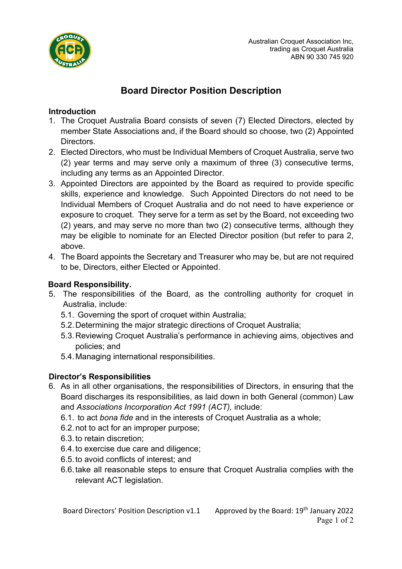

# **Board Director Position Description**

## **Introduction**

- 1. The Croquet Australia Board consists of seven (7) Elected Directors, elected by member State Associations and, if the Board should so choose, two (2) Appointed Directors.
- 2. Elected Directors, who must be Individual Members of Croquet Australia, serve two (2) year terms and may serve only a maximum of three (3) consecutive terms, including any terms as an Appointed Director.
- 3. Appointed Directors are appointed by the Board as required to provide specific skills, experience and knowledge. Such Appointed Directors do not need to be Individual Members of Croquet Australia and do not need to have experience or exposure to croquet. They serve for a term as set by the Board, not exceeding two (2) years, and may serve no more than two (2) consecutive terms, although they may be eligible to nominate for an Elected Director position (but refer to para 2, above.
- 4. The Board appoints the Secretary and Treasurer who may be, but are not required to be, Directors, either Elected or Appointed.

## **Board Responsibility.**

- 5. The responsibilities of the Board, as the controlling authority for croquet in Australia, include:
	- 5.1. Governing the sport of croquet within Australia;
	- 5.2.Determining the major strategic directions of Croquet Australia;
	- 5.3.Reviewing Croquet Australia's performance in achieving aims, objectives and policies; and
	- 5.4.Managing international responsibilities.

# **Director's Responsibilities**

- 6. As in all other organisations, the responsibilities of Directors, in ensuring that the Board discharges its responsibilities, as laid down in both General (common) Law and *Associations Incorporation Act 1991 (ACT),* include:
	- 6.1. to act *bona fide* and in the interests of Croquet Australia as a whole;
	- 6.2.not to act for an improper purpose;
	- 6.3.to retain discretion;
	- 6.4.to exercise due care and diligence;
	- 6.5.to avoid conflicts of interest; and
	- 6.6.take all reasonable steps to ensure that Croquet Australia complies with the relevant ACT legislation.